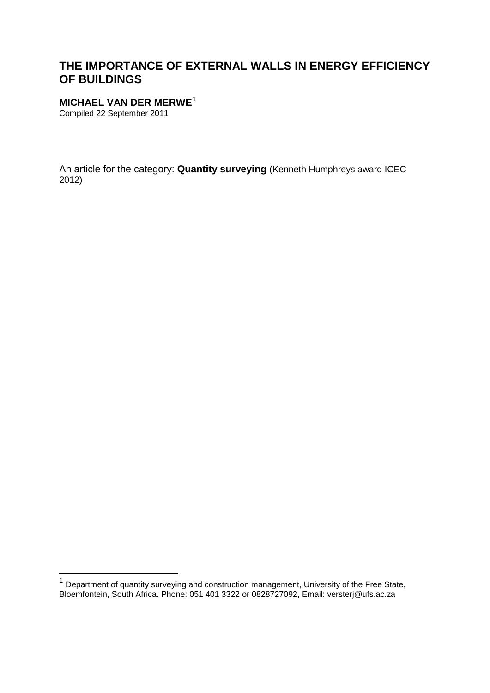# **THE IMPORTANCE OF EXTERNAL WALLS IN ENERGY EFFICIENCY OF BUILDINGS**

#### **MICHAEL VAN DER MERWE**[1](#page-0-0)

Compiled 22 September 2011

An article for the category: **Quantity surveying** (Kenneth Humphreys award ICEC 2012)

<span id="page-0-0"></span><sup>&</sup>lt;sup>1</sup> Department of quantity surveying and construction management, University of the Free State, Bloemfontein, South Africa. Phone: 051 401 3322 or 0828727092, Email: versterj@ufs.ac.za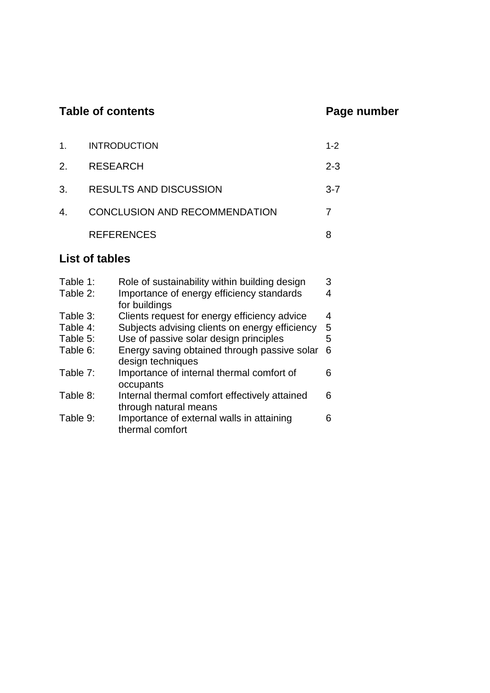# Table of contents **Page number**

| $1_{-}$ | <b>INTRODUCTION</b>                  | $1 - 2$ |
|---------|--------------------------------------|---------|
|         | <b>RESEARCH</b>                      | $2 - 3$ |
| 3.      | <b>RESULTS AND DISCUSSION</b>        | $3 - 7$ |
| $4_{-}$ | <b>CONCLUSION AND RECOMMENDATION</b> |         |
|         | <b>REFERENCES</b>                    |         |

# **List of tables**

| Table 1:<br>Table 2: | Role of sustainability within building design<br>Importance of energy efficiency standards | 3<br>4 |
|----------------------|--------------------------------------------------------------------------------------------|--------|
| Table 3:             | for buildings<br>Clients request for energy efficiency advice                              | 4      |
| Table 4:             | Subjects advising clients on energy efficiency                                             | 5      |
| Table 5:             | Use of passive solar design principles                                                     | 5      |
| Table 6:             | Energy saving obtained through passive solar<br>design techniques                          | 6      |
| Table 7:             | Importance of internal thermal comfort of<br>occupants                                     | 6      |
| Table 8:             | Internal thermal comfort effectively attained<br>through natural means                     | 6      |
| Table 9:             | Importance of external walls in attaining<br>thermal comfort                               | 6      |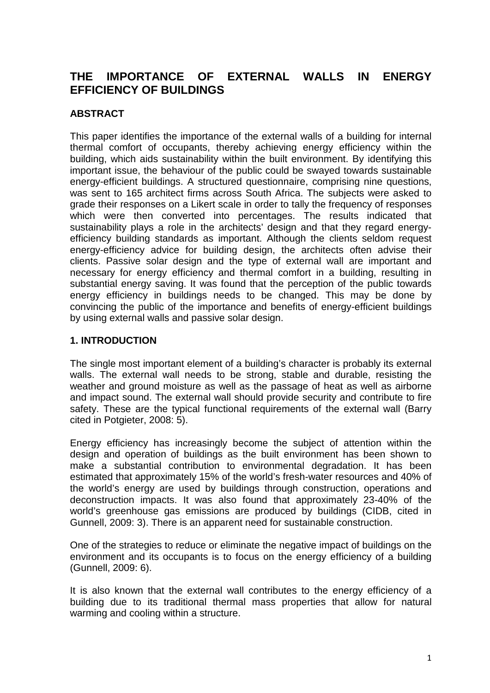# **THE IMPORTANCE OF EXTERNAL WALLS IN ENERGY EFFICIENCY OF BUILDINGS**

# **ABSTRACT**

This paper identifies the importance of the external walls of a building for internal thermal comfort of occupants, thereby achieving energy efficiency within the building, which aids sustainability within the built environment. By identifying this important issue, the behaviour of the public could be swayed towards sustainable energy-efficient buildings. A structured questionnaire, comprising nine questions, was sent to 165 architect firms across South Africa. The subjects were asked to grade their responses on a Likert scale in order to tally the frequency of responses which were then converted into percentages. The results indicated that sustainability plays a role in the architects' design and that they regard energyefficiency building standards as important. Although the clients seldom request energy-efficiency advice for building design, the architects often advise their clients. Passive solar design and the type of external wall are important and necessary for energy efficiency and thermal comfort in a building, resulting in substantial energy saving. It was found that the perception of the public towards energy efficiency in buildings needs to be changed. This may be done by convincing the public of the importance and benefits of energy-efficient buildings by using external walls and passive solar design.

## **1. INTRODUCTION**

The single most important element of a building's character is probably its external walls. The external wall needs to be strong, stable and durable, resisting the weather and ground moisture as well as the passage of heat as well as airborne and impact sound. The external wall should provide security and contribute to fire safety. These are the typical functional requirements of the external wall (Barry cited in Potgieter, 2008: 5).

Energy efficiency has increasingly become the subject of attention within the design and operation of buildings as the built environment has been shown to make a substantial contribution to environmental degradation. It has been estimated that approximately 15% of the world's fresh-water resources and 40% of the world's energy are used by buildings through construction, operations and deconstruction impacts. It was also found that approximately 23-40% of the world's greenhouse gas emissions are produced by buildings (CIDB, cited in Gunnell, 2009: 3). There is an apparent need for sustainable construction.

One of the strategies to reduce or eliminate the negative impact of buildings on the environment and its occupants is to focus on the energy efficiency of a building (Gunnell, 2009: 6).

It is also known that the external wall contributes to the energy efficiency of a building due to its traditional thermal mass properties that allow for natural warming and cooling within a structure.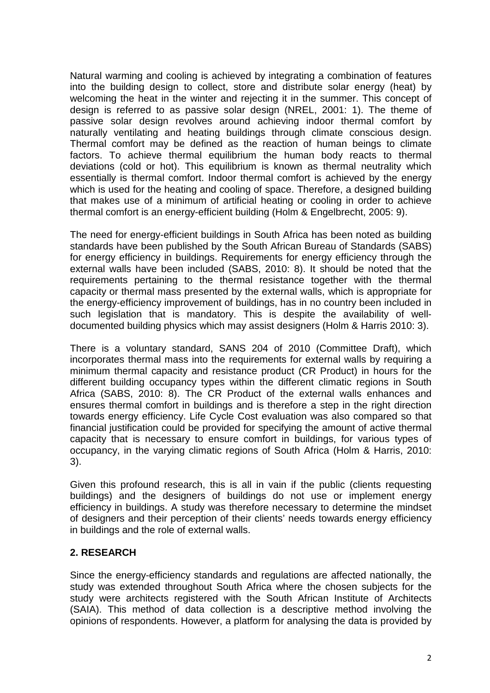Natural warming and cooling is achieved by integrating a combination of features into the building design to collect, store and distribute solar energy (heat) by welcoming the heat in the winter and rejecting it in the summer. This concept of design is referred to as passive solar design (NREL, 2001: 1). The theme of passive solar design revolves around achieving indoor thermal comfort by naturally ventilating and heating buildings through climate conscious design. Thermal comfort may be defined as the reaction of human beings to climate factors. To achieve thermal equilibrium the human body reacts to thermal deviations (cold or hot). This equilibrium is known as thermal neutrality which essentially is thermal comfort. Indoor thermal comfort is achieved by the energy which is used for the heating and cooling of space. Therefore, a designed building that makes use of a minimum of artificial heating or cooling in order to achieve thermal comfort is an energy-efficient building (Holm & Engelbrecht, 2005: 9).

The need for energy-efficient buildings in South Africa has been noted as building standards have been published by the South African Bureau of Standards (SABS) for energy efficiency in buildings. Requirements for energy efficiency through the external walls have been included (SABS, 2010: 8). It should be noted that the requirements pertaining to the thermal resistance together with the thermal capacity or thermal mass presented by the external walls, which is appropriate for the energy-efficiency improvement of buildings, has in no country been included in such legislation that is mandatory. This is despite the availability of welldocumented building physics which may assist designers (Holm & Harris 2010: 3).

There is a voluntary standard, SANS 204 of 2010 (Committee Draft), which incorporates thermal mass into the requirements for external walls by requiring a minimum thermal capacity and resistance product (CR Product) in hours for the different building occupancy types within the different climatic regions in South Africa (SABS, 2010: 8). The CR Product of the external walls enhances and ensures thermal comfort in buildings and is therefore a step in the right direction towards energy efficiency. Life Cycle Cost evaluation was also compared so that financial justification could be provided for specifying the amount of active thermal capacity that is necessary to ensure comfort in buildings, for various types of occupancy, in the varying climatic regions of South Africa (Holm & Harris, 2010: 3).

Given this profound research, this is all in vain if the public (clients requesting buildings) and the designers of buildings do not use or implement energy efficiency in buildings. A study was therefore necessary to determine the mindset of designers and their perception of their clients' needs towards energy efficiency in buildings and the role of external walls.

### **2. RESEARCH**

Since the energy-efficiency standards and regulations are affected nationally, the study was extended throughout South Africa where the chosen subjects for the study were architects registered with the South African Institute of Architects (SAIA). This method of data collection is a descriptive method involving the opinions of respondents. However, a platform for analysing the data is provided by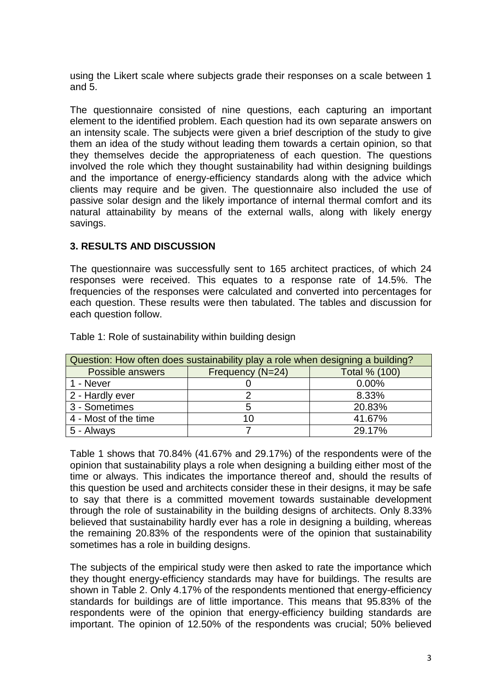using the Likert scale where subjects grade their responses on a scale between 1 and 5.

The questionnaire consisted of nine questions, each capturing an important element to the identified problem. Each question had its own separate answers on an intensity scale. The subjects were given a brief description of the study to give them an idea of the study without leading them towards a certain opinion, so that they themselves decide the appropriateness of each question. The questions involved the role which they thought sustainability had within designing buildings and the importance of energy-efficiency standards along with the advice which clients may require and be given. The questionnaire also included the use of passive solar design and the likely importance of internal thermal comfort and its natural attainability by means of the external walls, along with likely energy savings.

## **3. RESULTS AND DISCUSSION**

The questionnaire was successfully sent to 165 architect practices, of which 24 responses were received. This equates to a response rate of 14.5%. The frequencies of the responses were calculated and converted into percentages for each question. These results were then tabulated. The tables and discussion for each question follow.

| Question: How often does sustainability play a role when designing a building? |                  |               |  |
|--------------------------------------------------------------------------------|------------------|---------------|--|
| Possible answers                                                               | Frequency (N=24) | Total % (100) |  |
| 1 - Never                                                                      |                  | 0.00%         |  |
| 2 - Hardly ever                                                                |                  | 8.33%         |  |
| 3 - Sometimes                                                                  | 5                | 20.83%        |  |
| 4 - Most of the time                                                           |                  | 41.67%        |  |
| 5 - Always                                                                     |                  | 29.17%        |  |

Table 1: Role of sustainability within building design

Table 1 shows that 70.84% (41.67% and 29.17%) of the respondents were of the opinion that sustainability plays a role when designing a building either most of the time or always. This indicates the importance thereof and, should the results of this question be used and architects consider these in their designs, it may be safe to say that there is a committed movement towards sustainable development through the role of sustainability in the building designs of architects. Only 8.33% believed that sustainability hardly ever has a role in designing a building, whereas the remaining 20.83% of the respondents were of the opinion that sustainability sometimes has a role in building designs.

The subjects of the empirical study were then asked to rate the importance which they thought energy-efficiency standards may have for buildings. The results are shown in Table 2. Only 4.17% of the respondents mentioned that energy-efficiency standards for buildings are of little importance. This means that 95.83% of the respondents were of the opinion that energy-efficiency building standards are important. The opinion of 12.50% of the respondents was crucial; 50% believed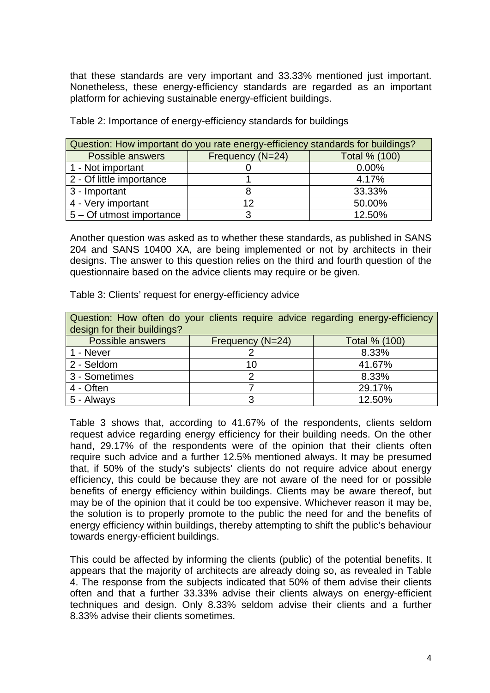that these standards are very important and 33.33% mentioned just important. Nonetheless, these energy-efficiency standards are regarded as an important platform for achieving sustainable energy-efficient buildings.

| Question: How important do you rate energy-efficiency standards for buildings? |                  |               |  |
|--------------------------------------------------------------------------------|------------------|---------------|--|
| <b>Possible answers</b>                                                        | Frequency (N=24) | Total % (100) |  |
| 1 - Not important                                                              |                  | 0.00%         |  |
| 2 - Of little importance                                                       |                  | 4.17%         |  |
| 3 - Important                                                                  |                  | 33.33%        |  |
| 4 - Very important                                                             | 12               | 50.00%        |  |
| 5 – Of utmost importance                                                       | 3                | 12.50%        |  |

Table 2: Importance of energy-efficiency standards for buildings

Another question was asked as to whether these standards, as published in SANS 204 and SANS 10400 XA, are being implemented or not by architects in their designs. The answer to this question relies on the third and fourth question of the questionnaire based on the advice clients may require or be given.

Table 3: Clients' request for energy-efficiency advice

| Question: How often do your clients require advice regarding energy-efficiency |                  |               |  |  |
|--------------------------------------------------------------------------------|------------------|---------------|--|--|
| design for their buildings?                                                    |                  |               |  |  |
| Possible answers                                                               | Frequency (N=24) | Total % (100) |  |  |
| 1 - Never                                                                      |                  | 8.33%         |  |  |
| 2 - Seldom                                                                     | 10               | 41.67%        |  |  |
| 3 - Sometimes                                                                  |                  | 8.33%         |  |  |
| 4 - Often                                                                      |                  | 29.17%        |  |  |
| 5 - Always                                                                     |                  | 12.50%        |  |  |

Table 3 shows that, according to 41.67% of the respondents, clients seldom request advice regarding energy efficiency for their building needs. On the other hand, 29.17% of the respondents were of the opinion that their clients often require such advice and a further 12.5% mentioned always. It may be presumed that, if 50% of the study's subjects' clients do not require advice about energy efficiency, this could be because they are not aware of the need for or possible benefits of energy efficiency within buildings. Clients may be aware thereof, but may be of the opinion that it could be too expensive. Whichever reason it may be, the solution is to properly promote to the public the need for and the benefits of energy efficiency within buildings, thereby attempting to shift the public's behaviour towards energy-efficient buildings.

This could be affected by informing the clients (public) of the potential benefits. It appears that the majority of architects are already doing so, as revealed in Table 4. The response from the subjects indicated that 50% of them advise their clients often and that a further 33.33% advise their clients always on energy-efficient techniques and design. Only 8.33% seldom advise their clients and a further 8.33% advise their clients sometimes.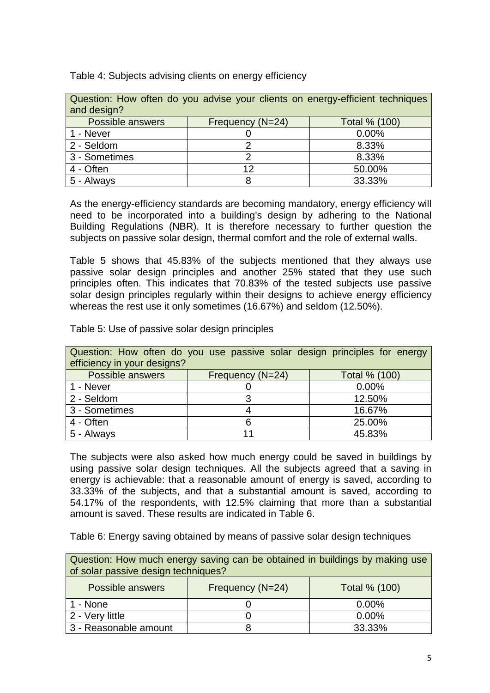| Question: How often do you advise your clients on energy-efficient techniques |                  |               |  |
|-------------------------------------------------------------------------------|------------------|---------------|--|
| and design?                                                                   |                  |               |  |
| <b>Possible answers</b>                                                       | Frequency (N=24) | Total % (100) |  |
| 1 - Never                                                                     |                  | 0.00%         |  |
| 2 - Seldom                                                                    |                  | 8.33%         |  |
| 3 - Sometimes                                                                 |                  | 8.33%         |  |
| 4 - Often                                                                     | 12               | 50.00%        |  |
| 5 - Always                                                                    |                  | 33.33%        |  |

Table 4: Subjects advising clients on energy efficiency

As the energy-efficiency standards are becoming mandatory, energy efficiency will need to be incorporated into a building's design by adhering to the National Building Regulations (NBR). It is therefore necessary to further question the subjects on passive solar design, thermal comfort and the role of external walls.

Table 5 shows that 45.83% of the subjects mentioned that they always use passive solar design principles and another 25% stated that they use such principles often. This indicates that 70.83% of the tested subjects use passive solar design principles regularly within their designs to achieve energy efficiency whereas the rest use it only sometimes (16.67%) and seldom (12.50%).

Table 5: Use of passive solar design principles

| Question: How often do you use passive solar design principles for energy |                  |               |  |
|---------------------------------------------------------------------------|------------------|---------------|--|
| efficiency in your designs?                                               |                  |               |  |
| Possible answers                                                          | Frequency (N=24) | Total % (100) |  |
| 1 - Never                                                                 |                  | 0.00%         |  |
| 2 - Seldom                                                                | າ                | 12.50%        |  |
| 3 - Sometimes                                                             |                  | 16.67%        |  |
| 4 - Often                                                                 |                  | 25.00%        |  |
| 5 - Always                                                                |                  | 45.83%        |  |

The subjects were also asked how much energy could be saved in buildings by using passive solar design techniques. All the subjects agreed that a saving in energy is achievable: that a reasonable amount of energy is saved, according to 33.33% of the subjects, and that a substantial amount is saved, according to 54.17% of the respondents, with 12.5% claiming that more than a substantial amount is saved. These results are indicated in Table 6.

Table 6: Energy saving obtained by means of passive solar design techniques

| Question: How much energy saving can be obtained in buildings by making use<br>of solar passive design techniques? |  |        |  |  |
|--------------------------------------------------------------------------------------------------------------------|--|--------|--|--|
| Frequency (N=24)<br><b>Total % (100)</b><br>Possible answers                                                       |  |        |  |  |
| 1 - None                                                                                                           |  | 0.00%  |  |  |
| 2 - Very little                                                                                                    |  | 0.00%  |  |  |
| 3 - Reasonable amount                                                                                              |  | 33.33% |  |  |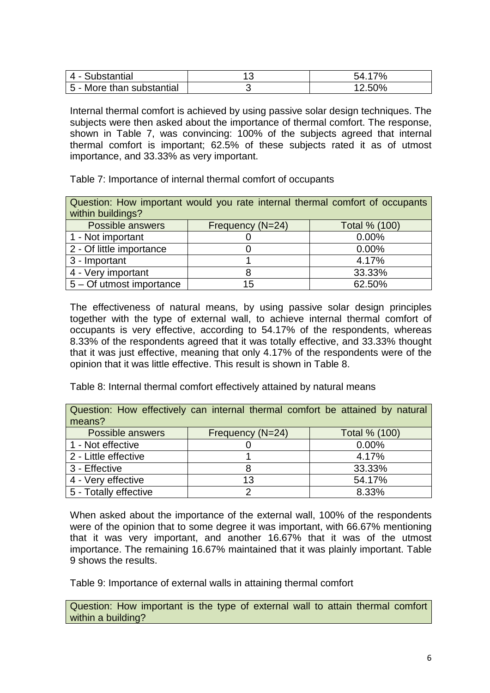| 4 - Substantial           |       |
|---------------------------|-------|
| 5 - More than substantial | 2.50% |

Internal thermal comfort is achieved by using passive solar design techniques. The subjects were then asked about the importance of thermal comfort. The response, shown in Table 7, was convincing: 100% of the subjects agreed that internal thermal comfort is important; 62.5% of these subjects rated it as of utmost importance, and 33.33% as very important.

Table 7: Importance of internal thermal comfort of occupants

| Question: How important would you rate internal thermal comfort of occupants<br>within buildings? |                  |               |  |
|---------------------------------------------------------------------------------------------------|------------------|---------------|--|
| <b>Possible answers</b>                                                                           | Frequency (N=24) | Total % (100) |  |
| 1 - Not important                                                                                 |                  | 0.00%         |  |
| 2 - Of little importance                                                                          |                  | 0.00%         |  |
| 3 - Important                                                                                     |                  | 4.17%         |  |
| 4 - Very important                                                                                |                  | 33.33%        |  |
| 5 – Of utmost importance                                                                          | 15               | 62.50%        |  |

The effectiveness of natural means, by using passive solar design principles together with the type of external wall, to achieve internal thermal comfort of occupants is very effective, according to 54.17% of the respondents, whereas 8.33% of the respondents agreed that it was totally effective, and 33.33% thought that it was just effective, meaning that only 4.17% of the respondents were of the opinion that it was little effective. This result is shown in Table 8.

Table 8: Internal thermal comfort effectively attained by natural means

| Question: How effectively can internal thermal comfort be attained by natural |                  |               |  |
|-------------------------------------------------------------------------------|------------------|---------------|--|
| means?                                                                        |                  |               |  |
| Possible answers                                                              | Frequency (N=24) | Total % (100) |  |
| 1 - Not effective                                                             |                  | 0.00%         |  |
| 2 - Little effective                                                          |                  | 4.17%         |  |
| 3 - Effective                                                                 |                  | 33.33%        |  |
| 4 - Very effective                                                            | 13               | 54.17%        |  |
| 5 - Totally effective                                                         |                  | 8.33%         |  |

When asked about the importance of the external wall, 100% of the respondents were of the opinion that to some degree it was important, with 66.67% mentioning that it was very important, and another 16.67% that it was of the utmost importance. The remaining 16.67% maintained that it was plainly important. Table 9 shows the results.

Table 9: Importance of external walls in attaining thermal comfort

Question: How important is the type of external wall to attain thermal comfort within a building?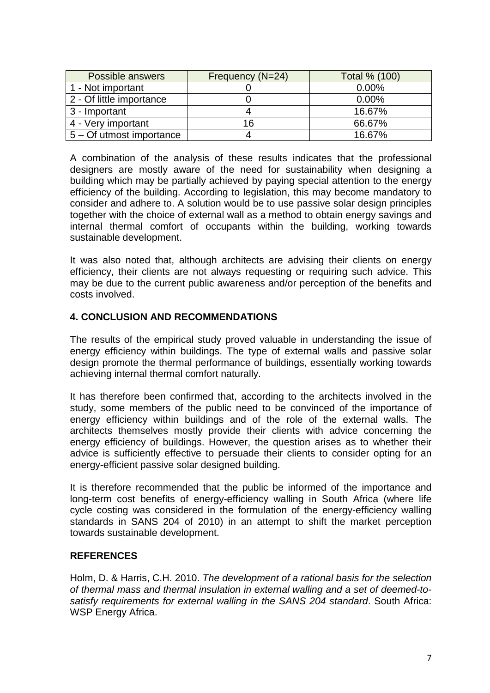| Possible answers         | Frequency (N=24) | Total % (100) |
|--------------------------|------------------|---------------|
| 1 - Not important        |                  | 0.00%         |
| 2 - Of little importance |                  | 0.00%         |
| 3 - Important            |                  | 16.67%        |
| 4 - Very important       | 16               | 66.67%        |
| 5 – Of utmost importance |                  | 16.67%        |

A combination of the analysis of these results indicates that the professional designers are mostly aware of the need for sustainability when designing a building which may be partially achieved by paying special attention to the energy efficiency of the building. According to legislation, this may become mandatory to consider and adhere to. A solution would be to use passive solar design principles together with the choice of external wall as a method to obtain energy savings and internal thermal comfort of occupants within the building, working towards sustainable development.

It was also noted that, although architects are advising their clients on energy efficiency, their clients are not always requesting or requiring such advice. This may be due to the current public awareness and/or perception of the benefits and costs involved.

# **4. CONCLUSION AND RECOMMENDATIONS**

The results of the empirical study proved valuable in understanding the issue of energy efficiency within buildings. The type of external walls and passive solar design promote the thermal performance of buildings, essentially working towards achieving internal thermal comfort naturally.

It has therefore been confirmed that, according to the architects involved in the study, some members of the public need to be convinced of the importance of energy efficiency within buildings and of the role of the external walls. The architects themselves mostly provide their clients with advice concerning the energy efficiency of buildings. However, the question arises as to whether their advice is sufficiently effective to persuade their clients to consider opting for an energy-efficient passive solar designed building.

It is therefore recommended that the public be informed of the importance and long-term cost benefits of energy-efficiency walling in South Africa (where life cycle costing was considered in the formulation of the energy-efficiency walling standards in SANS 204 of 2010) in an attempt to shift the market perception towards sustainable development.

### **REFERENCES**

Holm, D. & Harris, C.H. 2010. *The development of a rational basis for the selection of thermal mass and thermal insulation in external walling and a set of deemed-tosatisfy requirements for external walling in the SANS 204 standard*. South Africa: WSP Energy Africa.